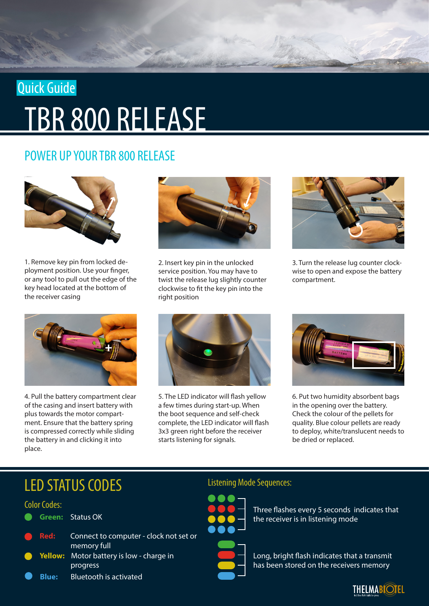# TBR 800 RELEASE Quick Guide

# POWER UP YOUR TBR 800 RELEASE



1. Remove key pin from locked deployment position. Use your finger, or any tool to pull out the edge of the key head located at the bottom of the receiver casing



4. Pull the battery compartment clear of the casing and insert battery with plus towards the motor compartment. Ensure that the battery spring is compressed correctly while sliding the battery in and clicking it into place.



2. Insert key pin in the unlocked service position. You may have to twist the release lug slightly counter clockwise to fit the key pin into the right position



3. Turn the release lug counter clockwise to open and expose the battery compartment.



5. The LED indicator will flash yellow a few times during start-up. When the boot sequence and self-check complete, the LED indicator will flash 3x3 green right before the receiver starts listening for signals.



6. Put two humidity absorbent bags in the opening over the battery. Check the colour of the pellets for quality. Blue colour pellets are ready to deploy, white/translucent needs to be dried or replaced.

# LED STATUS CODES

### Color Codes:

|  | <b>Green: Status OK</b>                                       |
|--|---------------------------------------------------------------|
|  | Red: Connect to computer - clock not set or<br>memory full    |
|  | <b>C</b> Yellow: Motor battery is low - charge in<br>progress |
|  | <b>Blue:</b> Bluetooth is activated                           |

# Listening Mode Sequences:



Three flashes every 5 seconds indicates that the receiver is in listening mode

Long, bright flash indicates that a transmit has been stored on the receivers memory